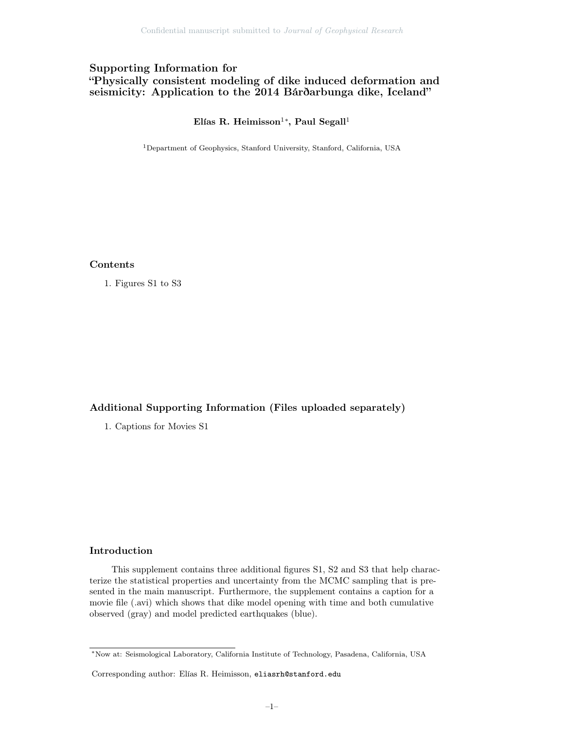# Supporting Information for "Physically consistent modeling of dike induced deformation and seismicity: Application to the 2014 Bárðarbunga dike, Iceland"

### Elías R. Heimisson $^{1*}$ , Paul Segall $^{1}$

<sup>1</sup>Department of Geophysics, Stanford University, Stanford, California, USA

### Contents

1. Figures S1 to S3

## Additional Supporting Information (Files uploaded separately)

1. Captions for Movies S1

#### Introduction

This supplement contains three additional figures S1, S2 and S3 that help characterize the statistical properties and uncertainty from the MCMC sampling that is presented in the main manuscript. Furthermore, the supplement contains a caption for a movie file (.avi) which shows that dike model opening with time and both cumulative observed (gray) and model predicted earthquakes (blue).

<sup>∗</sup>Now at: Seismological Laboratory, California Institute of Technology, Pasadena, California, USA

Corresponding author: Elías R. Heimisson, eliasrh@stanford.edu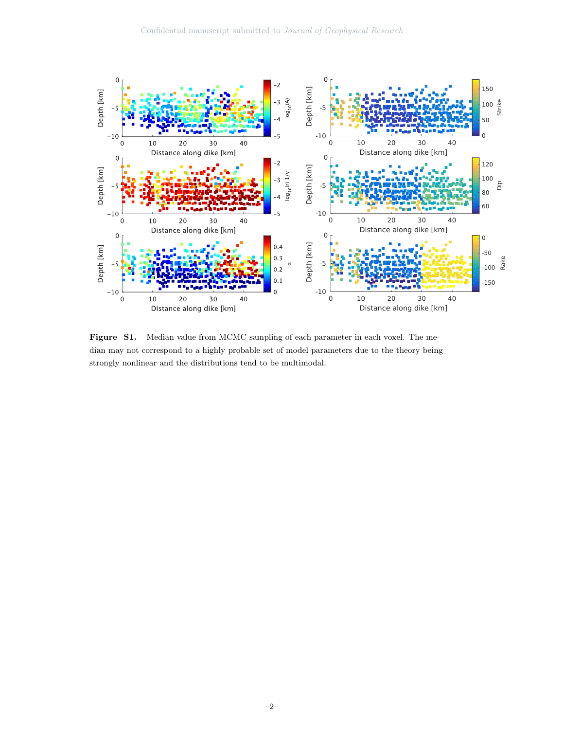

Figure S1. Median value from MCMC sampling of each parameter in each voxel. The median may not correspond to a highly probable set of model parameters due to the theory being strongly nonlinear and the distributions tend to be multimodal.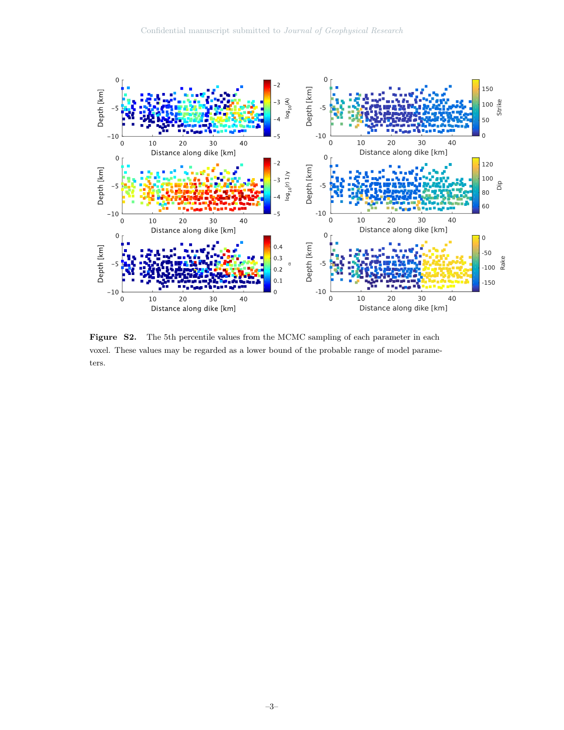

Figure S2. The 5th percentile values from the MCMC sampling of each parameter in each voxel. These values may be regarded as a lower bound of the probable range of model parameters.